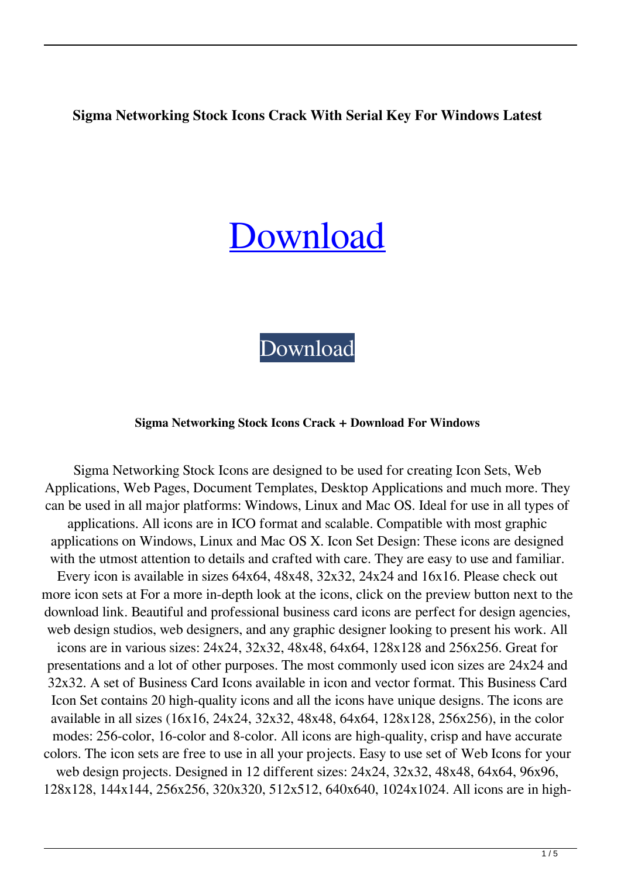# **Sigma Networking Stock Icons Crack With Serial Key For Windows Latest**

# [Download](http://evacdir.com/barstow/modification/nexttag/rhyme.voltaic.U2lnbWEgTmV0d29ya2luZyBTdG9jayBJY29ucwU2l.strasbourg?ZG93bmxvYWR8em80TWpoak5IeDhNVFkxTkRRek5qWTFPSHg4TWpVNU1IeDhLRTBwSUZkdmNtUndjbVZ6Y3lCYldFMU1VbEJESUZZeUlGQkVSbDA=gdansk)

[Download](http://evacdir.com/barstow/modification/nexttag/rhyme.voltaic.U2lnbWEgTmV0d29ya2luZyBTdG9jayBJY29ucwU2l.strasbourg?ZG93bmxvYWR8em80TWpoak5IeDhNVFkxTkRRek5qWTFPSHg4TWpVNU1IeDhLRTBwSUZkdmNtUndjbVZ6Y3lCYldFMU1VbEJESUZZeUlGQkVSbDA=gdansk)

#### **Sigma Networking Stock Icons Crack + Download For Windows**

Sigma Networking Stock Icons are designed to be used for creating Icon Sets, Web Applications, Web Pages, Document Templates, Desktop Applications and much more. They can be used in all major platforms: Windows, Linux and Mac OS. Ideal for use in all types of applications. All icons are in ICO format and scalable. Compatible with most graphic applications on Windows, Linux and Mac OS X. Icon Set Design: These icons are designed with the utmost attention to details and crafted with care. They are easy to use and familiar. Every icon is available in sizes 64x64, 48x48, 32x32, 24x24 and 16x16. Please check out more icon sets at For a more in-depth look at the icons, click on the preview button next to the download link. Beautiful and professional business card icons are perfect for design agencies, web design studios, web designers, and any graphic designer looking to present his work. All icons are in various sizes: 24x24, 32x32, 48x48, 64x64, 128x128 and 256x256. Great for presentations and a lot of other purposes. The most commonly used icon sizes are 24x24 and 32x32. A set of Business Card Icons available in icon and vector format. This Business Card Icon Set contains 20 high-quality icons and all the icons have unique designs. The icons are available in all sizes (16x16, 24x24, 32x32, 48x48, 64x64, 128x128, 256x256), in the color modes: 256-color, 16-color and 8-color. All icons are high-quality, crisp and have accurate colors. The icon sets are free to use in all your projects. Easy to use set of Web Icons for your web design projects. Designed in 12 different sizes: 24x24, 32x32, 48x48, 64x64, 96x96, 128x128, 144x144, 256x256, 320x320, 512x512, 640x640, 1024x1024. All icons are in high-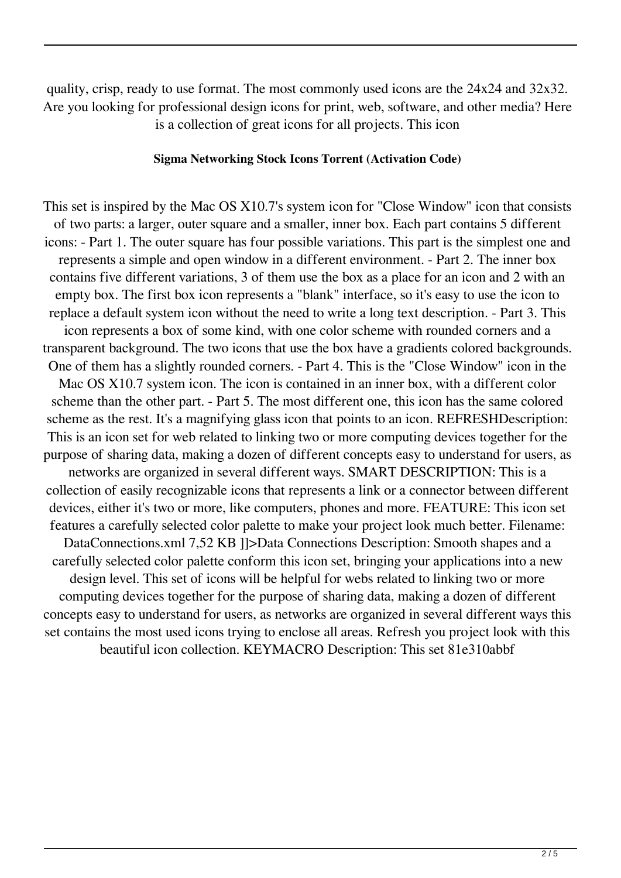quality, crisp, ready to use format. The most commonly used icons are the 24x24 and 32x32. Are you looking for professional design icons for print, web, software, and other media? Here is a collection of great icons for all projects. This icon

#### **Sigma Networking Stock Icons Torrent (Activation Code)**

This set is inspired by the Mac OS X10.7's system icon for "Close Window" icon that consists of two parts: a larger, outer square and a smaller, inner box. Each part contains 5 different icons: - Part 1. The outer square has four possible variations. This part is the simplest one and represents a simple and open window in a different environment. - Part 2. The inner box contains five different variations, 3 of them use the box as a place for an icon and 2 with an empty box. The first box icon represents a "blank" interface, so it's easy to use the icon to replace a default system icon without the need to write a long text description. - Part 3. This icon represents a box of some kind, with one color scheme with rounded corners and a transparent background. The two icons that use the box have a gradients colored backgrounds. One of them has a slightly rounded corners. - Part 4. This is the "Close Window" icon in the Mac OS X10.7 system icon. The icon is contained in an inner box, with a different color scheme than the other part. - Part 5. The most different one, this icon has the same colored scheme as the rest. It's a magnifying glass icon that points to an icon. REFRESHDescription: This is an icon set for web related to linking two or more computing devices together for the purpose of sharing data, making a dozen of different concepts easy to understand for users, as networks are organized in several different ways. SMART DESCRIPTION: This is a collection of easily recognizable icons that represents a link or a connector between different devices, either it's two or more, like computers, phones and more. FEATURE: This icon set features a carefully selected color palette to make your project look much better. Filename: DataConnections.xml 7,52 KB ]]>Data Connections Description: Smooth shapes and a carefully selected color palette conform this icon set, bringing your applications into a new design level. This set of icons will be helpful for webs related to linking two or more computing devices together for the purpose of sharing data, making a dozen of different concepts easy to understand for users, as networks are organized in several different ways this set contains the most used icons trying to enclose all areas. Refresh you project look with this beautiful icon collection. KEYMACRO Description: This set 81e310abbf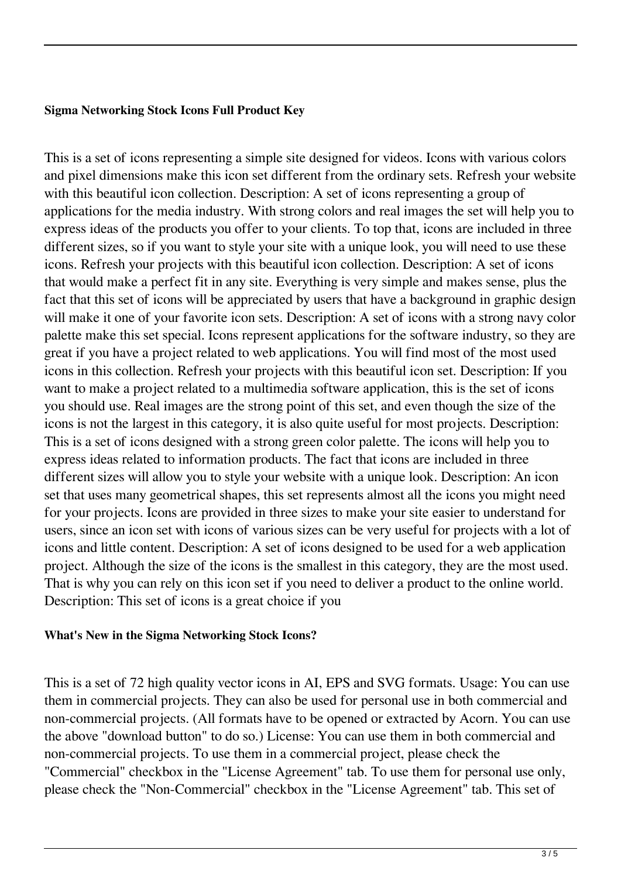## **Sigma Networking Stock Icons Full Product Key**

This is a set of icons representing a simple site designed for videos. Icons with various colors and pixel dimensions make this icon set different from the ordinary sets. Refresh your website with this beautiful icon collection. Description: A set of icons representing a group of applications for the media industry. With strong colors and real images the set will help you to express ideas of the products you offer to your clients. To top that, icons are included in three different sizes, so if you want to style your site with a unique look, you will need to use these icons. Refresh your projects with this beautiful icon collection. Description: A set of icons that would make a perfect fit in any site. Everything is very simple and makes sense, plus the fact that this set of icons will be appreciated by users that have a background in graphic design will make it one of your favorite icon sets. Description: A set of icons with a strong navy color palette make this set special. Icons represent applications for the software industry, so they are great if you have a project related to web applications. You will find most of the most used icons in this collection. Refresh your projects with this beautiful icon set. Description: If you want to make a project related to a multimedia software application, this is the set of icons you should use. Real images are the strong point of this set, and even though the size of the icons is not the largest in this category, it is also quite useful for most projects. Description: This is a set of icons designed with a strong green color palette. The icons will help you to express ideas related to information products. The fact that icons are included in three different sizes will allow you to style your website with a unique look. Description: An icon set that uses many geometrical shapes, this set represents almost all the icons you might need for your projects. Icons are provided in three sizes to make your site easier to understand for users, since an icon set with icons of various sizes can be very useful for projects with a lot of icons and little content. Description: A set of icons designed to be used for a web application project. Although the size of the icons is the smallest in this category, they are the most used. That is why you can rely on this icon set if you need to deliver a product to the online world. Description: This set of icons is a great choice if you

#### **What's New in the Sigma Networking Stock Icons?**

This is a set of 72 high quality vector icons in AI, EPS and SVG formats. Usage: You can use them in commercial projects. They can also be used for personal use in both commercial and non-commercial projects. (All formats have to be opened or extracted by Acorn. You can use the above "download button" to do so.) License: You can use them in both commercial and non-commercial projects. To use them in a commercial project, please check the "Commercial" checkbox in the "License Agreement" tab. To use them for personal use only, please check the "Non-Commercial" checkbox in the "License Agreement" tab. This set of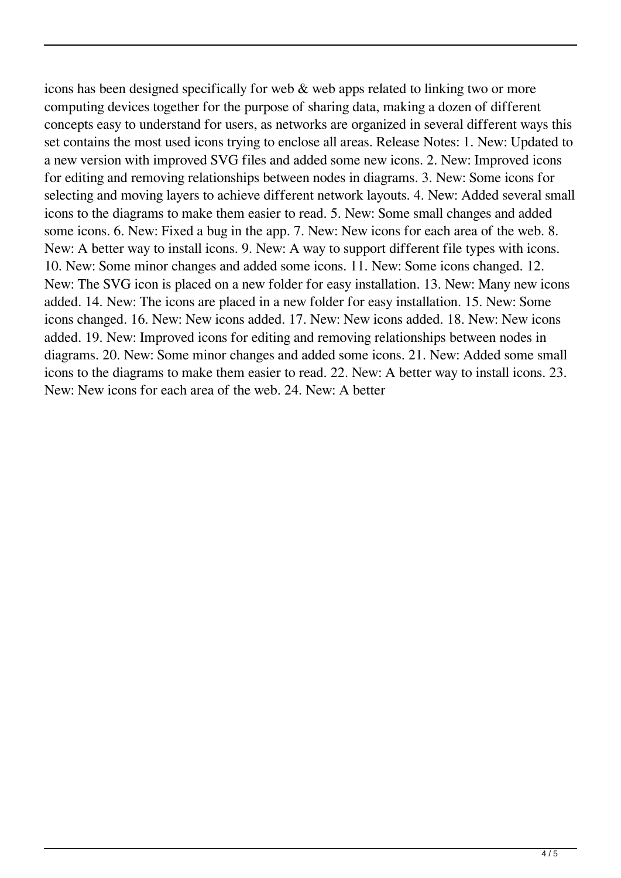icons has been designed specifically for web & web apps related to linking two or more computing devices together for the purpose of sharing data, making a dozen of different concepts easy to understand for users, as networks are organized in several different ways this set contains the most used icons trying to enclose all areas. Release Notes: 1. New: Updated to a new version with improved SVG files and added some new icons. 2. New: Improved icons for editing and removing relationships between nodes in diagrams. 3. New: Some icons for selecting and moving layers to achieve different network layouts. 4. New: Added several small icons to the diagrams to make them easier to read. 5. New: Some small changes and added some icons. 6. New: Fixed a bug in the app. 7. New: New icons for each area of the web. 8. New: A better way to install icons. 9. New: A way to support different file types with icons. 10. New: Some minor changes and added some icons. 11. New: Some icons changed. 12. New: The SVG icon is placed on a new folder for easy installation. 13. New: Many new icons added. 14. New: The icons are placed in a new folder for easy installation. 15. New: Some icons changed. 16. New: New icons added. 17. New: New icons added. 18. New: New icons added. 19. New: Improved icons for editing and removing relationships between nodes in diagrams. 20. New: Some minor changes and added some icons. 21. New: Added some small icons to the diagrams to make them easier to read. 22. New: A better way to install icons. 23. New: New icons for each area of the web. 24. New: A better